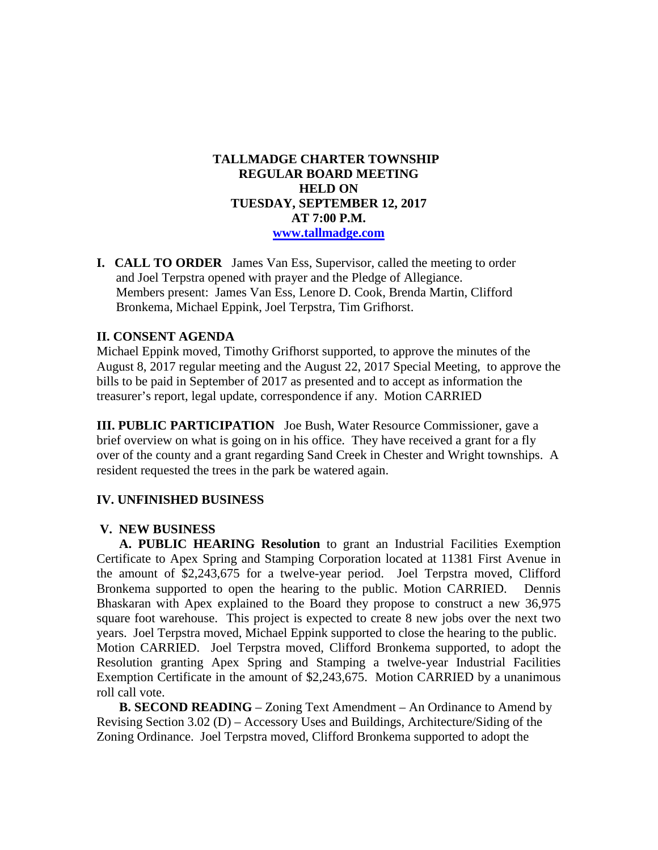## **TALLMADGE CHARTER TOWNSHIP REGULAR BOARD MEETING HELD ON TUESDAY, SEPTEMBER 12, 2017 AT 7:00 P.M. [www.tallmadge.com](http://www.tallmadge.com/)**

**I. CALL TO ORDER** James Van Ess, Supervisor, called the meeting to order and Joel Terpstra opened with prayer and the Pledge of Allegiance. Members present: James Van Ess, Lenore D. Cook, Brenda Martin, Clifford Bronkema, Michael Eppink, Joel Terpstra, Tim Grifhorst.

### **II. CONSENT AGENDA**

Michael Eppink moved, Timothy Grifhorst supported, to approve the minutes of the August 8, 2017 regular meeting and the August 22, 2017 Special Meeting, to approve the bills to be paid in September of 2017 as presented and to accept as information the treasurer's report, legal update, correspondence if any. Motion CARRIED

**III. PUBLIC PARTICIPATION** Joe Bush, Water Resource Commissioner, gave a brief overview on what is going on in his office. They have received a grant for a fly over of the county and a grant regarding Sand Creek in Chester and Wright townships. A resident requested the trees in the park be watered again.

# **IV. UNFINISHED BUSINESS**

### **V. NEW BUSINESS**

 **A. PUBLIC HEARING Resolution** to grant an Industrial Facilities Exemption Certificate to Apex Spring and Stamping Corporation located at 11381 First Avenue in the amount of \$2,243,675 for a twelve-year period. Joel Terpstra moved, Clifford Bronkema supported to open the hearing to the public. Motion CARRIED. Dennis Bhaskaran with Apex explained to the Board they propose to construct a new 36,975 square foot warehouse. This project is expected to create 8 new jobs over the next two years. Joel Terpstra moved, Michael Eppink supported to close the hearing to the public. Motion CARRIED. Joel Terpstra moved, Clifford Bronkema supported, to adopt the Resolution granting Apex Spring and Stamping a twelve-year Industrial Facilities Exemption Certificate in the amount of \$2,243,675. Motion CARRIED by a unanimous roll call vote.

**B. SECOND READING** – Zoning Text Amendment – An Ordinance to Amend by Revising Section 3.02 (D) – Accessory Uses and Buildings, Architecture/Siding of the Zoning Ordinance. Joel Terpstra moved, Clifford Bronkema supported to adopt the